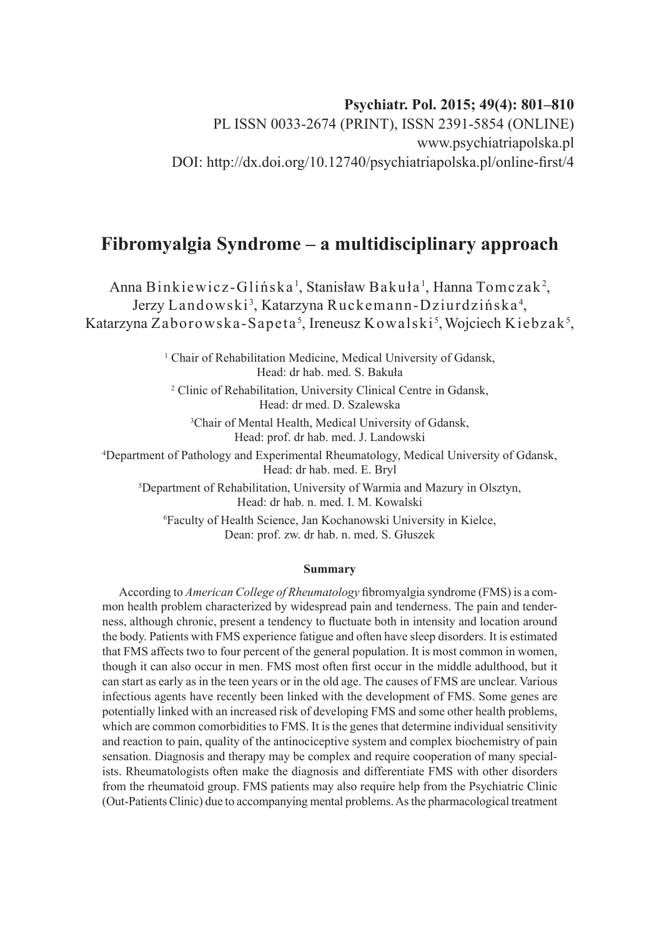## **Psychiatr. Pol. 2015; 49(4): 801–810**

PL ISSN 0033-2674 (PRINT), ISSN 2391-5854 (ONLINE) www.psychiatriapolska.pl DOI: http://dx.doi.org/10.12740/psychiatriapolska.pl/online-first/4

# **Fibromyalgia Syndrome – a multidisciplinary approach**

Anna Binkiewicz-Glińska', Stanisław Bakuła', Hanna Tomczak<sup>2</sup>, Jerzy Landowski<sup>3</sup>, Katarzyna Ruckemann-Dziurdzińska<sup>4</sup>, Katarzyna Zaborowska-Sapeta<sup>s</sup>, Ireneusz Kowalski<sup>s</sup>, Wojciech Kiebzak<sup>s</sup>,

> <sup>1</sup> Chair of Rehabilitation Medicine, Medical University of Gdansk, Head: dr hab. med. S. Bakuła

2 Clinic of Rehabilitation, University Clinical Centre in Gdansk, Head: dr med. D. Szalewska

3 Chair of Mental Health, Medical University of Gdansk, Head: prof. dr hab. med. J. Landowski

4 Department of Pathology and Experimental Rheumatology, Medical University of Gdansk, Head: dr hab. med. E. Bryl

5 Department of Rehabilitation, University of Warmia and Mazury in Olsztyn, Head: dr hab. n. med. I. M. Kowalski

6 Faculty of Health Science, Jan Kochanowski University in Kielce, Dean: prof. zw. dr hab. n. med. S. Głuszek

#### **Summary**

According to *American College of Rheumatology* fibromyalgia syndrome (FMS) is a common health problem characterized by widespread pain and tenderness. The pain and tenderness, although chronic, present a tendency to fluctuate both in intensity and location around the body. Patients with FMS experience fatigue and often have sleep disorders. It is estimated that FMS affects two to four percent of the general population. It is most common in women, though it can also occur in men. FMS most often first occur in the middle adulthood, but it can start as early as in the teen years or in the old age. The causes of FMS are unclear. Various infectious agents have recently been linked with the development of FMS. Some genes are potentially linked with an increased risk of developing FMS and some other health problems, which are common comorbidities to FMS. It is the genes that determine individual sensitivity and reaction to pain, quality of the antinociceptive system and complex biochemistry of pain sensation. Diagnosis and therapy may be complex and require cooperation of many specialists. Rheumatologists often make the diagnosis and differentiate FMS with other disorders from the rheumatoid group. FMS patients may also require help from the Psychiatric Clinic (Out-Patients Clinic) due to accompanying mental problems. As the pharmacological treatment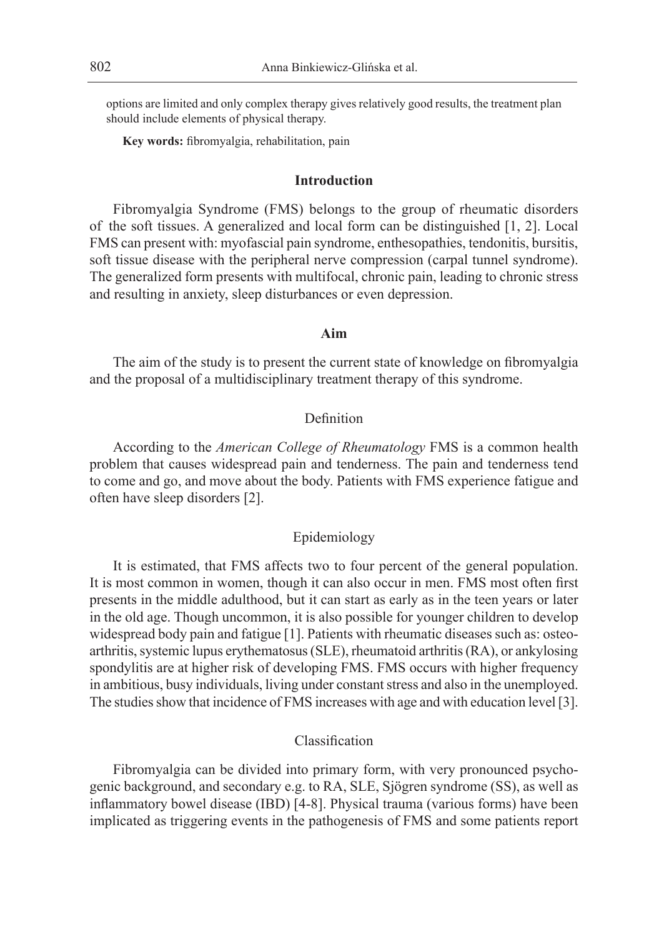options are limited and only complex therapy gives relatively good results, the treatment plan should include elements of physical therapy.

**Key words:** fibromyalgia, rehabilitation, pain

### **Introduction**

Fibromyalgia Syndrome (FMS) belongs to the group of rheumatic disorders of the soft tissues. A generalized and local form can be distinguished [1, 2]. Local FMS can present with: myofascial pain syndrome, enthesopathies, tendonitis, bursitis, soft tissue disease with the peripheral nerve compression (carpal tunnel syndrome). The generalized form presents with multifocal, chronic pain, leading to chronic stress and resulting in anxiety, sleep disturbances or even depression.

## **Aim**

The aim of the study is to present the current state of knowledge on fibromyalgia and the proposal of a multidisciplinary treatment therapy of this syndrome.

## Definition

According to the *American College of Rheumatology* FMS is a common health problem that causes widespread pain and tenderness. The pain and tenderness tend to come and go, and move about the body. Patients with FMS experience fatigue and often have sleep disorders [2].

#### Epidemiology

It is estimated, that FMS affects two to four percent of the general population. It is most common in women, though it can also occur in men. FMS most often first presents in the middle adulthood, but it can start as early as in the teen years or later in the old age. Though uncommon, it is also possible for younger children to develop widespread body pain and fatigue [1]. Patients with rheumatic diseases such as: osteoarthritis, systemic lupus erythematosus (SLE), rheumatoid arthritis (RA), or ankylosing spondylitis are at higher risk of developing FMS. FMS occurs with higher frequency in ambitious, busy individuals, living under constant stress and also in the unemployed. The studies show that incidence of FMS increases with age and with education level [3].

## Classification

Fibromyalgia can be divided into primary form, with very pronounced psychogenic background, and secondary e.g. to RA, SLE, Sjögren syndrome (SS), as well as inflammatory bowel disease (IBD) [4-8]. Physical trauma (various forms) have been implicated as triggering events in the pathogenesis of FMS and some patients report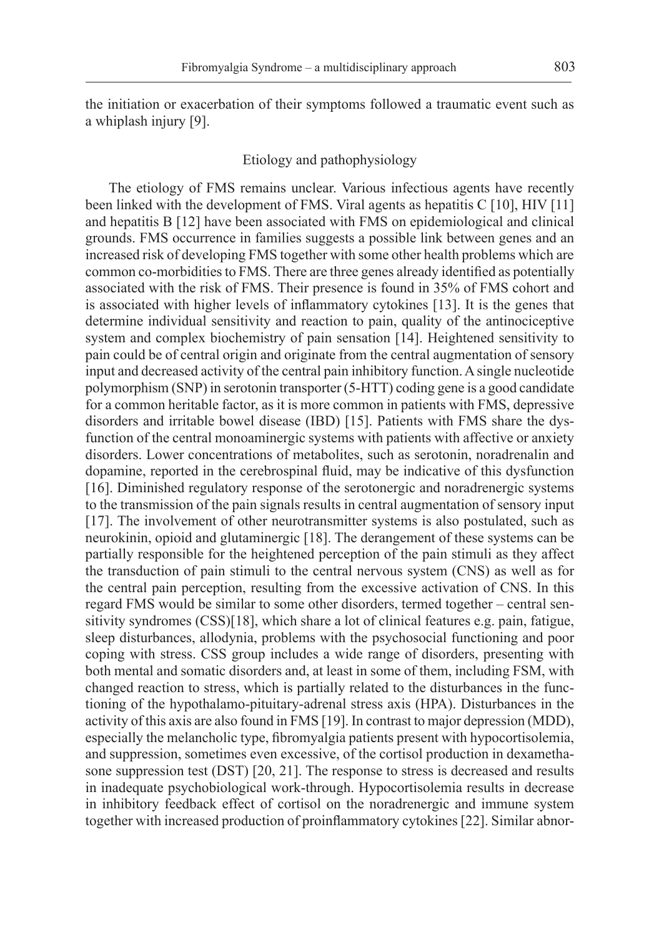the initiation or exacerbation of their symptoms followed a traumatic event such as a whiplash injury [9].

#### Etiology and pathophysiology

The etiology of FMS remains unclear. Various infectious agents have recently been linked with the development of FMS. Viral agents as hepatitis C [10], HIV [11] and hepatitis B [12] have been associated with FMS on epidemiological and clinical grounds. FMS occurrence in families suggests a possible link between genes and an increased risk of developing FMS together with some other health problems which are common co-morbidities to FMS. There are three genes already identified as potentially associated with the risk of FMS. Their presence is found in 35% of FMS cohort and is associated with higher levels of inflammatory cytokines [13]. It is the genes that determine individual sensitivity and reaction to pain, quality of the antinociceptive system and complex biochemistry of pain sensation [14]. Heightened sensitivity to pain could be of central origin and originate from the central augmentation of sensory input and decreased activity of the central pain inhibitory function. A single nucleotide polymorphism (SNP) in serotonin transporter (5-HTT) coding gene is a good candidate for a common heritable factor, as it is more common in patients with FMS, depressive disorders and irritable bowel disease (IBD) [15]. Patients with FMS share the dysfunction of the central monoaminergic systems with patients with affective or anxiety disorders. Lower concentrations of metabolites, such as serotonin, noradrenalin and dopamine, reported in the cerebrospinal fluid, may be indicative of this dysfunction [16]. Diminished regulatory response of the serotonergic and noradrenergic systems to the transmission of the pain signals results in central augmentation of sensory input [17]. The involvement of other neurotransmitter systems is also postulated, such as neurokinin, opioid and glutaminergic [18]. The derangement of these systems can be partially responsible for the heightened perception of the pain stimuli as they affect the transduction of pain stimuli to the central nervous system (CNS) as well as for the central pain perception, resulting from the excessive activation of CNS. In this regard FMS would be similar to some other disorders, termed together – central sensitivity syndromes (CSS)[18], which share a lot of clinical features e.g. pain, fatigue, sleep disturbances, allodynia, problems with the psychosocial functioning and poor coping with stress. CSS group includes a wide range of disorders, presenting with both mental and somatic disorders and, at least in some of them, including FSM, with changed reaction to stress, which is partially related to the disturbances in the functioning of the hypothalamo-pituitary-adrenal stress axis (HPA). Disturbances in the activity of this axis are also found in FMS [19]. In contrast to major depression (MDD), especially the melancholic type, fibromyalgia patients present with hypocortisolemia, and suppression, sometimes even excessive, of the cortisol production in dexamethasone suppression test (DST) [20, 21]. The response to stress is decreased and results in inadequate psychobiological work-through. Hypocortisolemia results in decrease in inhibitory feedback effect of cortisol on the noradrenergic and immune system together with increased production of proinflammatory cytokines [22]. Similar abnor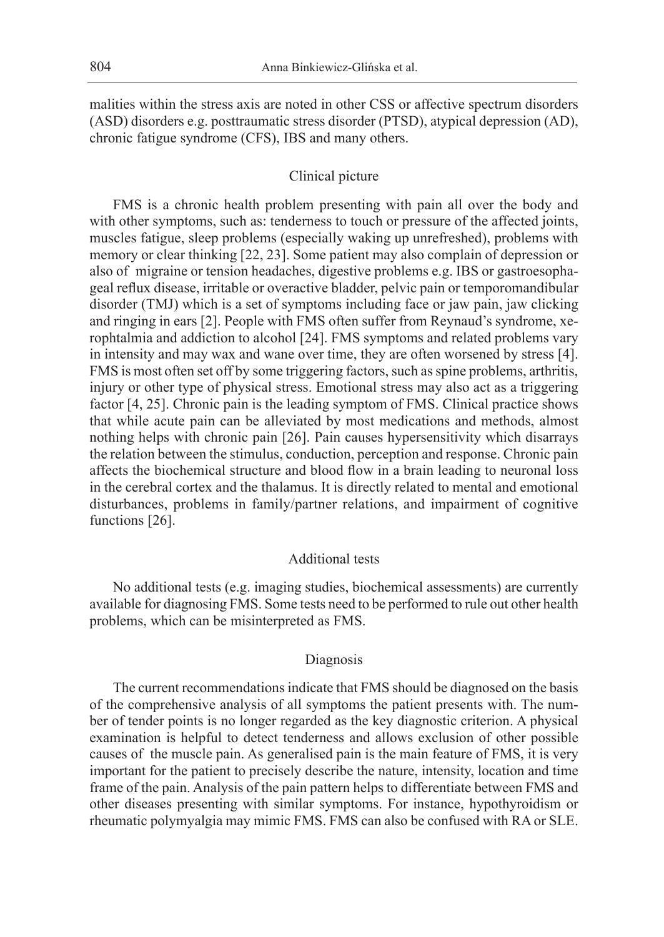malities within the stress axis are noted in other CSS or affective spectrum disorders (ASD) disorders e.g. posttraumatic stress disorder (PTSD), atypical depression (AD), chronic fatigue syndrome (CFS), IBS and many others.

## Clinical picture

FMS is a chronic health problem presenting with pain all over the body and with other symptoms, such as: tenderness to touch or pressure of the affected joints, muscles fatigue, sleep problems (especially waking up unrefreshed), problems with memory or clear thinking [22, 23]. Some patient may also complain of depression or also of migraine or tension headaches, digestive problems e.g. IBS or gastroesophageal reflux disease, irritable or overactive bladder, pelvic pain or temporomandibular disorder (TMJ) which is a set of symptoms including face or jaw pain, jaw clicking and ringing in ears [2]. People with FMS often suffer from Reynaud's syndrome, xerophtalmia and addiction to alcohol [24]. FMS symptoms and related problems vary in intensity and may wax and wane over time, they are often worsened by stress [4]. FMS is most often set off by some triggering factors, such as spine problems, arthritis, injury or other type of physical stress. Emotional stress may also act as a triggering factor [4, 25]. Chronic pain is the leading symptom of FMS. Clinical practice shows that while acute pain can be alleviated by most medications and methods, almost nothing helps with chronic pain [26]. Pain causes hypersensitivity which disarrays the relation between the stimulus, conduction, perception and response. Chronic pain affects the biochemical structure and blood flow in a brain leading to neuronal loss in the cerebral cortex and the thalamus. It is directly related to mental and emotional disturbances, problems in family/partner relations, and impairment of cognitive functions [26].

## Additional tests

No additional tests (e.g. imaging studies, biochemical assessments) are currently available for diagnosing FMS. Some tests need to be performed to rule out other health problems, which can be misinterpreted as FMS.

#### Diagnosis

The current recommendations indicate that FMS should be diagnosed on the basis of the comprehensive analysis of all symptoms the patient presents with. The number of tender points is no longer regarded as the key diagnostic criterion. A physical examination is helpful to detect tenderness and allows exclusion of other possible causes of the muscle pain. As generalised pain is the main feature of FMS, it is very important for the patient to precisely describe the nature, intensity, location and time frame of the pain. Analysis of the pain pattern helps to differentiate between FMS and other diseases presenting with similar symptoms. For instance, hypothyroidism or rheumatic polymyalgia may mimic FMS. FMS can also be confused with RA or SLE.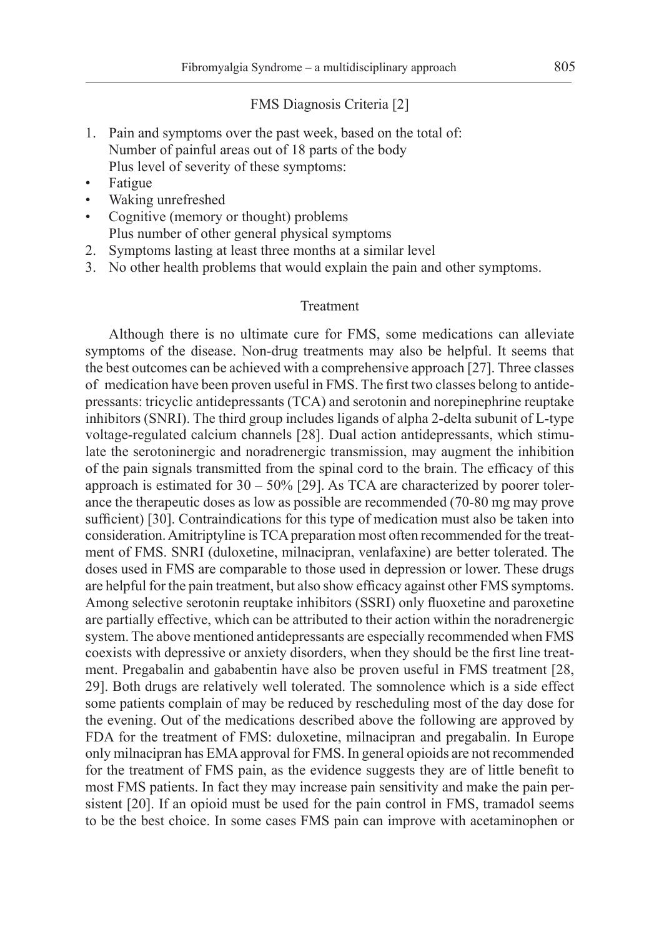#### FMS Diagnosis Criteria [2]

- 1. Pain and symptoms over the past week, based on the total of: Number of painful areas out of 18 parts of the body Plus level of severity of these symptoms:
- Fatigue
- Waking unrefreshed
- Cognitive (memory or thought) problems Plus number of other general physical symptoms
- 2. Symptoms lasting at least three months at a similar level
- 3. No other health problems that would explain the pain and other symptoms.

#### Treatment

Although there is no ultimate cure for FMS, some medications can alleviate symptoms of the disease. Non-drug treatments may also be helpful. It seems that the best outcomes can be achieved with a comprehensive approach [27]. Three classes of medication have been proven useful in FMS. The first two classes belong to antidepressants: tricyclic antidepressants (TCA) and serotonin and norepinephrine reuptake inhibitors (SNRI). The third group includes ligands of alpha 2-delta subunit of L-type voltage-regulated calcium channels [28]. Dual action antidepressants, which stimulate the serotoninergic and noradrenergic transmission, may augment the inhibition of the pain signals transmitted from the spinal cord to the brain. The efficacy of this approach is estimated for  $30 - 50\%$  [29]. As TCA are characterized by poorer tolerance the therapeutic doses as low as possible are recommended (70-80 mg may prove sufficient) [30]. Contraindications for this type of medication must also be taken into consideration. Amitriptyline is TCA preparation most often recommended for the treatment of FMS. SNRI (duloxetine, milnacipran, venlafaxine) are better tolerated. The doses used in FMS are comparable to those used in depression or lower. These drugs are helpful for the pain treatment, but also show efficacy against other FMS symptoms. Among selective serotonin reuptake inhibitors (SSRI) only fluoxetine and paroxetine are partially effective, which can be attributed to their action within the noradrenergic system. The above mentioned antidepressants are especially recommended when FMS coexists with depressive or anxiety disorders, when they should be the first line treatment. Pregabalin and gababentin have also be proven useful in FMS treatment [28, 29]. Both drugs are relatively well tolerated. The somnolence which is a side effect some patients complain of may be reduced by rescheduling most of the day dose for the evening. Out of the medications described above the following are approved by FDA for the treatment of FMS: duloxetine, milnacipran and pregabalin. In Europe only milnacipran has EMA approval for FMS. In general opioids are not recommended for the treatment of FMS pain, as the evidence suggests they are of little benefit to most FMS patients. In fact they may increase pain sensitivity and make the pain persistent [20]. If an opioid must be used for the pain control in FMS, tramadol seems to be the best choice. In some cases FMS pain can improve with acetaminophen or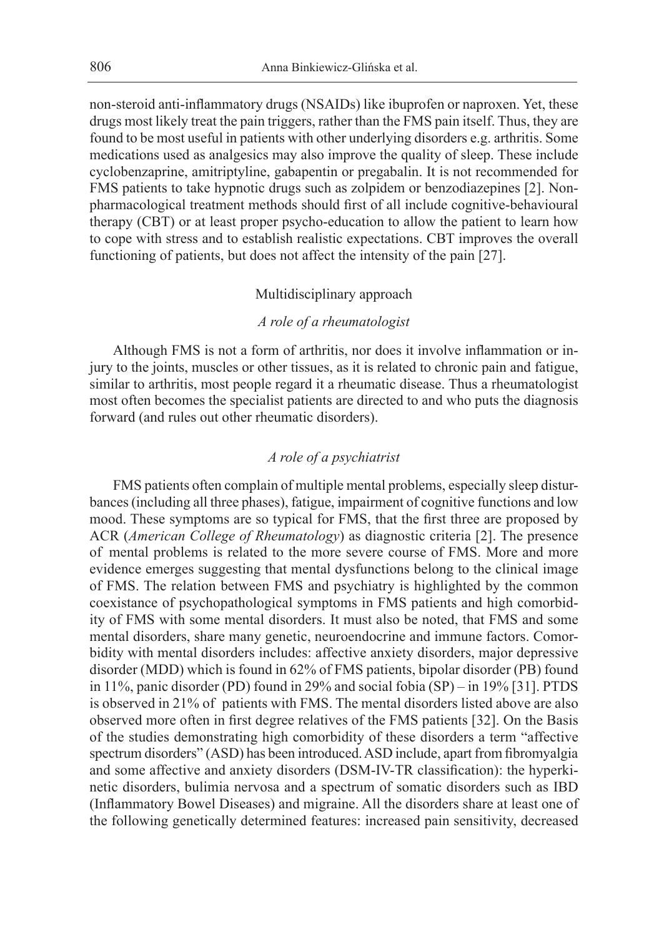non-steroid anti-inflammatory drugs (NSAIDs) like ibuprofen or naproxen. Yet, these drugs most likely treat the pain triggers, rather than the FMS pain itself. Thus, they are found to be most useful in patients with other underlying disorders e.g. arthritis. Some medications used as analgesics may also improve the quality of sleep. These include cyclobenzaprine, amitriptyline, gabapentin or pregabalin. It is not recommended for FMS patients to take hypnotic drugs such as zolpidem or benzodiazepines [2]. Nonpharmacological treatment methods should first of all include cognitive-behavioural therapy (CBT) or at least proper psycho-education to allow the patient to learn how to cope with stress and to establish realistic expectations. CBT improves the overall functioning of patients, but does not affect the intensity of the pain [27].

## Multidisciplinary approach

#### *A role of a rheumatologist*

Although FMS is not a form of arthritis, nor does it involve inflammation or injury to the joints, muscles or other tissues, as it is related to chronic pain and fatigue, similar to arthritis, most people regard it a rheumatic disease. Thus a rheumatologist most often becomes the specialist patients are directed to and who puts the diagnosis forward (and rules out other rheumatic disorders).

#### *A role of a psychiatrist*

FMS patients often complain of multiple mental problems, especially sleep disturbances (including all three phases), fatigue, impairment of cognitive functions and low mood. These symptoms are so typical for FMS, that the first three are proposed by ACR (*American College of Rheumatology*) as diagnostic criteria [2]. The presence of mental problems is related to the more severe course of FMS. More and more evidence emerges suggesting that mental dysfunctions belong to the clinical image of FMS. The relation between FMS and psychiatry is highlighted by the common coexistance of psychopathological symptoms in FMS patients and high comorbidity of FMS with some mental disorders. It must also be noted, that FMS and some mental disorders, share many genetic, neuroendocrine and immune factors. Comorbidity with mental disorders includes: affective anxiety disorders, major depressive disorder (MDD) which is found in 62% of FMS patients, bipolar disorder (PB) found in 11%, panic disorder (PD) found in 29% and social fobia (SP) – in 19% [31]. PTDS is observed in 21% of patients with FMS. The mental disorders listed above are also observed more often in first degree relatives of the FMS patients [32]. On the Basis of the studies demonstrating high comorbidity of these disorders a term "affective spectrum disorders" (ASD) has been introduced. ASD include, apart from fibromyalgia and some affective and anxiety disorders (DSM-IV-TR classification): the hyperkinetic disorders, bulimia nervosa and a spectrum of somatic disorders such as IBD (Inflammatory Bowel Diseases) and migraine. All the disorders share at least one of the following genetically determined features: increased pain sensitivity, decreased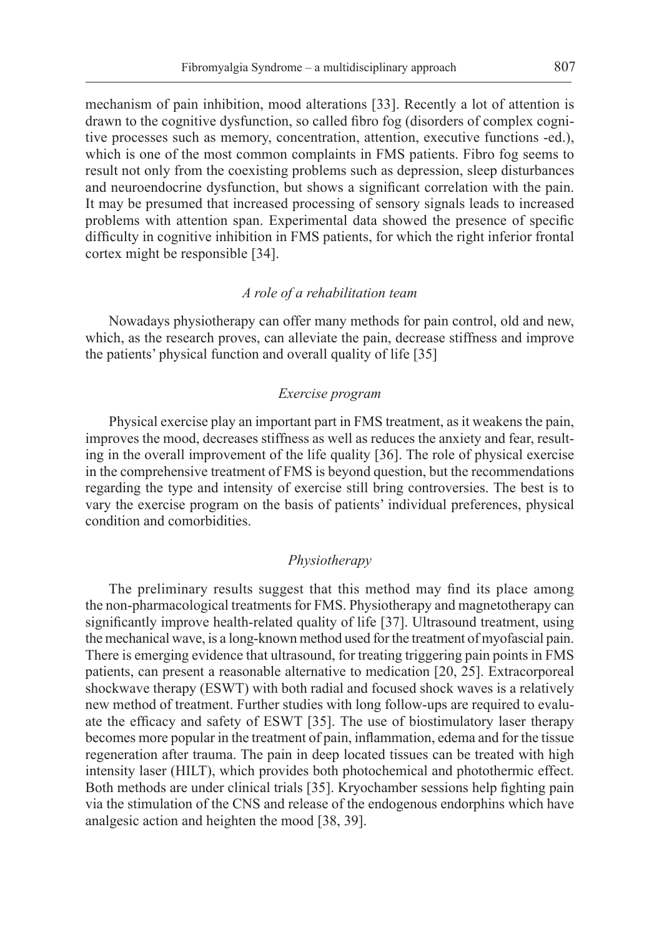mechanism of pain inhibition, mood alterations [33]. Recently a lot of attention is drawn to the cognitive dysfunction, so called fibro fog (disorders of complex cognitive processes such as memory, concentration, attention, executive functions -ed.), which is one of the most common complaints in FMS patients. Fibro fog seems to result not only from the coexisting problems such as depression, sleep disturbances and neuroendocrine dysfunction, but shows a significant correlation with the pain. It may be presumed that increased processing of sensory signals leads to increased problems with attention span. Experimental data showed the presence of specific difficulty in cognitive inhibition in FMS patients, for which the right inferior frontal cortex might be responsible [34].

#### *A role of a rehabilitation team*

Nowadays physiotherapy can offer many methods for pain control, old and new, which, as the research proves, can alleviate the pain, decrease stiffness and improve the patients' physical function and overall quality of life [35]

#### *Exercise program*

Physical exercise play an important part in FMS treatment, as it weakens the pain, improves the mood, decreases stiffness as well as reduces the anxiety and fear, resulting in the overall improvement of the life quality [36]. The role of physical exercise in the comprehensive treatment of FMS is beyond question, but the recommendations regarding the type and intensity of exercise still bring controversies. The best is to vary the exercise program on the basis of patients' individual preferences, physical condition and comorbidities.

## *Physiotherapy*

The preliminary results suggest that this method may find its place among the non-pharmacological treatments for FMS. Physiotherapy and magnetotherapy can significantly improve health-related quality of life [37]. Ultrasound treatment, using the mechanical wave, is a long-known method used for the treatment of myofascial pain. There is emerging evidence that ultrasound, for treating triggering pain points in FMS patients, can present a reasonable alternative to medication [20, 25]. Extracorporeal shockwave therapy (ESWT) with both radial and focused shock waves is a relatively new method of treatment. Further studies with long follow-ups are required to evaluate the efficacy and safety of ESWT [35]. The use of biostimulatory laser therapy becomes more popular in the treatment of pain, inflammation, edema and for the tissue regeneration after trauma. The pain in deep located tissues can be treated with high intensity laser (HILT), which provides both photochemical and photothermic effect. Both methods are under clinical trials [35]. Kryochamber sessions help fighting pain via the stimulation of the CNS and release of the endogenous endorphins which have analgesic action and heighten the mood [38, 39].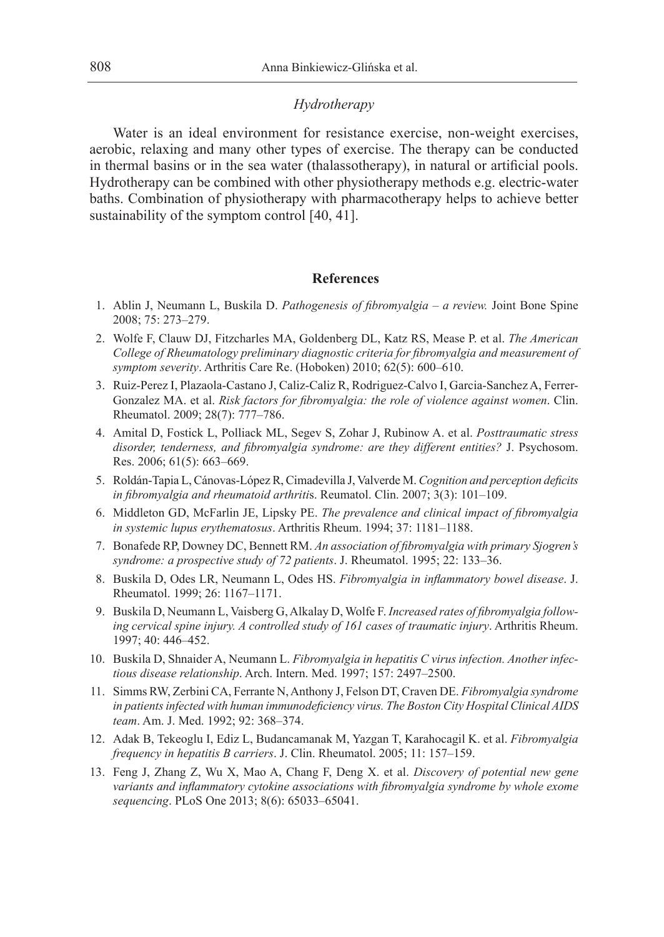### *Hydrotherapy*

Water is an ideal environment for resistance exercise, non-weight exercises, aerobic, relaxing and many other types of exercise. The therapy can be conducted in thermal basins or in the sea water (thalassotherapy), in natural or artificial pools. Hydrotherapy can be combined with other physiotherapy methods e.g. electric-water baths. Combination of physiotherapy with pharmacotherapy helps to achieve better sustainability of the symptom control [40, 41].

#### **References**

- 1. Ablin J, Neumann L, Buskila D. *Pathogenesis of fibromyalgia a review.* Joint Bone Spine 2008; 75: 273–279.
- 2. Wolfe F, Clauw DJ, Fitzcharles MA, Goldenberg DL, Katz RS, Mease P. et al. *The American College of Rheumatology preliminary diagnostic criteria for fibromyalgia and measurement of symptom severity*. Arthritis Care Re. (Hoboken) 2010; 62(5): 600–610.
- 3. Ruiz-Perez I, Plazaola-Castano J, Caliz-Caliz R, Rodriguez-Calvo I, Garcia-Sanchez A, Ferrer-Gonzalez MA. et al. *Risk factors for fibromyalgia: the role of violence against women*. Clin. Rheumatol. 2009; 28(7): 777–786.
- 4. Amital D, Fostick L, Polliack ML, Segev S, Zohar J, Rubinow A. et al. *Posttraumatic stress disorder, tenderness, and fibromyalgia syndrome: are they different entities?* J. Psychosom. Res. 2006; 61(5): 663–669.
- 5. Roldán-Tapia L, Cánovas-López R, Cimadevilla J, Valverde M. *Cognition and perception deficits in fibromyalgia and rheumatoid arthriti*s. Reumatol. Clin. 2007; 3(3): 101–109.
- 6. Middleton GD, McFarlin JE, Lipsky PE. *The prevalence and clinical impact of fibromyalgia in systemic lupus erythematosus*. Arthritis Rheum. 1994; 37: 1181–1188.
- 7. Bonafede RP, Downey DC, Bennett RM. *An association of fibromyalgia with primary Sjogren's syndrome: a prospective study of 72 patients*. J. Rheumatol. 1995; 22: 133–36.
- 8. Buskila D, Odes LR, Neumann L, Odes HS. *Fibromyalgia in inflammatory bowel disease*. J. Rheumatol. 1999; 26: 1167–1171.
- 9. Buskila D, Neumann L, Vaisberg G, Alkalay D, Wolfe F. *Increased rates of fibromyalgia following cervical spine injury. A controlled study of 161 cases of traumatic injury*. Arthritis Rheum. 1997; 40: 446–452.
- 10. Buskila D, Shnaider A, Neumann L. *Fibromyalgia in hepatitis C virus infection. Another infectious disease relationship*. Arch. Intern. Med. 1997; 157: 2497–2500.
- 11. Simms RW, Zerbini CA, Ferrante N, Anthony J, Felson DT, Craven DE. *Fibromyalgia syndrome in patients infected with human immunodeficiency virus. The Boston City Hospital Clinical AIDS team*. Am. J. Med. 1992; 92: 368–374.
- 12. Adak B, Tekeoglu I, Ediz L, Budancamanak M, Yazgan T, Karahocagil K. et al. *Fibromyalgia frequency in hepatitis B carriers*. J. Clin. Rheumatol. 2005; 11: 157–159.
- 13. Feng J, Zhang Z, Wu X, Mao A, Chang F, Deng X. et al. *Discovery of potential new gene variants and inflammatory cytokine associations with fibromyalgia syndrome by whole exome sequencing*. PLoS One 2013; 8(6): 65033–65041.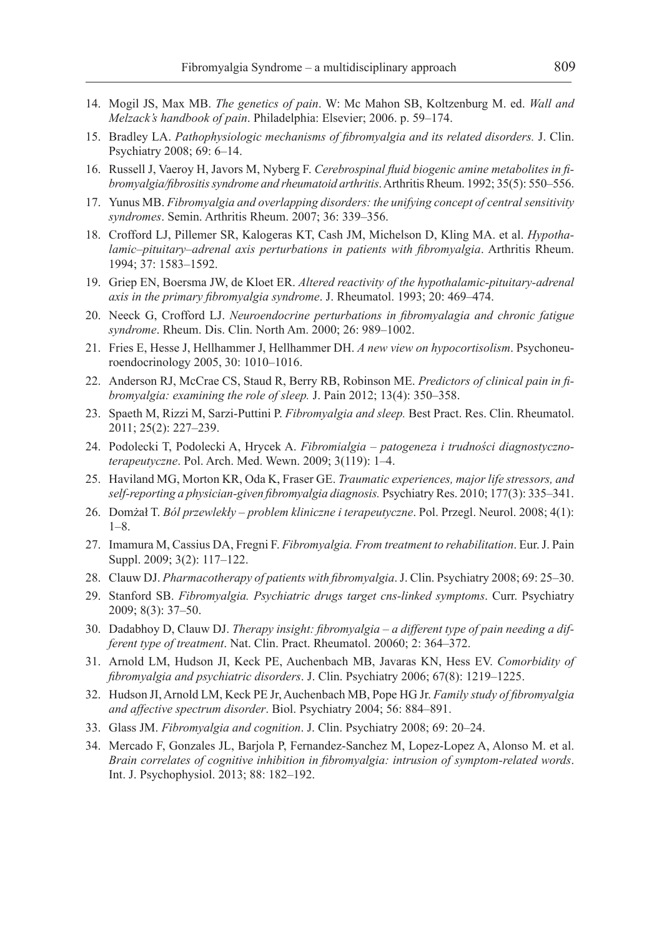- 14. Mogil JS, Max MB. *The genetics of pain*. W: Mc Mahon SB, Koltzenburg M. ed. *Wall and Melzack's handbook of pain*. Philadelphia: Elsevier; 2006. p. 59–174.
- 15. Bradley LA. *Pathophysiologic mechanisms of fibromyalgia and its related disorders.* J. Clin. Psychiatry 2008; 69: 6–14.
- 16. Russell J, Vaeroy H, Javors M, Nyberg F. *Cerebrospinal fluid biogenic amine metabolites in fibromyalgia/fibrositis syndrome and rheumatoid arthritis*. Arthritis Rheum. 1992; 35(5): 550–556.
- 17. Yunus MB. *Fibromyalgia and overlapping disorders: the unifying concept of central sensitivity syndromes*. Semin. Arthritis Rheum. 2007; 36: 339–356.
- 18. Crofford LJ, Pillemer SR, Kalogeras KT, Cash JM, Michelson D, Kling MA. et al. *Hypothalamic–pituitary–adrenal axis perturbations in patients with fibromyalgia*. Arthritis Rheum. 1994; 37: 1583–1592.
- 19. Griep EN, Boersma JW, de Kloet ER. *Altered reactivity of the hypothalamic-pituitary-adrenal axis in the primary fibromyalgia syndrome*. J. Rheumatol. 1993; 20: 469–474.
- 20. Neeck G, Crofford LJ. *Neuroendocrine perturbations in fibromyalagia and chronic fatigue syndrome*. Rheum. Dis. Clin. North Am. 2000; 26: 989–1002.
- 21. Fries E, Hesse J, Hellhammer J, Hellhammer DH. *A new view on hypocortisolism*. Psychoneuroendocrinology 2005, 30: 1010–1016.
- 22. Anderson RJ, McCrae CS, Staud R, Berry RB, Robinson ME. *Predictors of clinical pain in fibromyalgia: examining the role of sleep.* J. Pain 2012; 13(4): 350–358.
- 23. Spaeth M, Rizzi M, Sarzi-Puttini P. *Fibromyalgia and sleep.* Best Pract. Res. Clin. Rheumatol. 2011; 25(2): 227–239.
- 24. Podolecki T, Podolecki A, Hrycek A. *Fibromialgia patogeneza i trudności diagnostycznoterapeutyczne*. Pol. Arch. Med. Wewn. 2009; 3(119): 1–4.
- 25. Haviland MG, Morton KR, Oda K, Fraser GE. *Traumatic experiences, major life stressors, and self-reporting a physician-given fibromyalgia diagnosis.* Psychiatry Res. 2010; 177(3): 335–341.
- 26. Domżał T. *Ból przewlekły problem kliniczne i terapeutyczne*. Pol. Przegl. Neurol. 2008; 4(1): 1–8.
- 27. Imamura M, Cassius DA, Fregni F. *Fibromyalgia. From treatment to rehabilitation*. Eur. J. Pain Suppl. 2009; 3(2): 117–122.
- 28. Clauw DJ. *Pharmacotherapy of patients with fibromyalgia*. J. Clin. Psychiatry 2008; 69: 25–30.
- 29. Stanford SB. *Fibromyalgia. Psychiatric drugs target cns-linked symptoms*. Curr. Psychiatry 2009; 8(3): 37–50.
- 30. Dadabhoy D, Clauw DJ. *Therapy insight: fibromyalgia a different type of pain needing a different type of treatment*. Nat. Clin. Pract. Rheumatol. 20060; 2: 364–372.
- 31. Arnold LM, Hudson JI, Keck PE, Auchenbach MB, Javaras KN, Hess EV. *Comorbidity of fibromyalgia and psychiatric disorders*. J. Clin. Psychiatry 2006; 67(8): 1219–1225.
- 32. Hudson JI, Arnold LM, Keck PE Jr, Auchenbach MB, Pope HG Jr. *Family study of fibromyalgia and affective spectrum disorder*. Biol. Psychiatry 2004; 56: 884–891.
- 33. Glass JM. *Fibromyalgia and cognition*. J. Clin. Psychiatry 2008; 69: 20–24.
- 34. Mercado F, Gonzales JL, Barjola P, Fernandez-Sanchez M, Lopez-Lopez A, Alonso M. et al. *Brain correlates of cognitive inhibition in fibromyalgia: intrusion of symptom-related words*. Int. J. Psychophysiol. 2013; 88: 182–192.